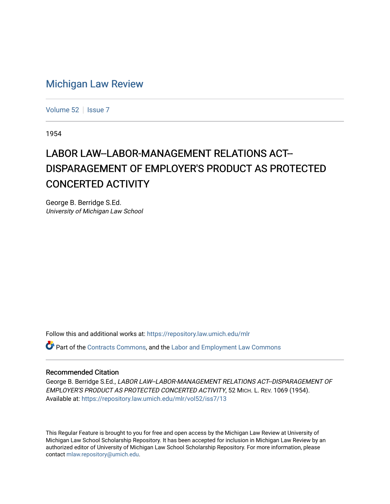## [Michigan Law Review](https://repository.law.umich.edu/mlr)

[Volume 52](https://repository.law.umich.edu/mlr/vol52) | [Issue 7](https://repository.law.umich.edu/mlr/vol52/iss7)

1954

## LABOR LAW--LABOR-MANAGEMENT RELATIONS ACT--DISPARAGEMENT OF EMPLOYER'S PRODUCT AS PROTECTED CONCERTED ACTIVITY

George B. Berridge S.Ed. University of Michigan Law School

Follow this and additional works at: [https://repository.law.umich.edu/mlr](https://repository.law.umich.edu/mlr?utm_source=repository.law.umich.edu%2Fmlr%2Fvol52%2Fiss7%2F13&utm_medium=PDF&utm_campaign=PDFCoverPages) 

Part of the [Contracts Commons](http://network.bepress.com/hgg/discipline/591?utm_source=repository.law.umich.edu%2Fmlr%2Fvol52%2Fiss7%2F13&utm_medium=PDF&utm_campaign=PDFCoverPages), and the [Labor and Employment Law Commons](http://network.bepress.com/hgg/discipline/909?utm_source=repository.law.umich.edu%2Fmlr%2Fvol52%2Fiss7%2F13&utm_medium=PDF&utm_campaign=PDFCoverPages)

## Recommended Citation

George B. Berridge S.Ed., LABOR LAW--LABOR-MANAGEMENT RELATIONS ACT--DISPARAGEMENT OF EMPLOYER'S PRODUCT AS PROTECTED CONCERTED ACTIVITY, 52 MICH. L. REV. 1069 (1954). Available at: [https://repository.law.umich.edu/mlr/vol52/iss7/13](https://repository.law.umich.edu/mlr/vol52/iss7/13?utm_source=repository.law.umich.edu%2Fmlr%2Fvol52%2Fiss7%2F13&utm_medium=PDF&utm_campaign=PDFCoverPages) 

This Regular Feature is brought to you for free and open access by the Michigan Law Review at University of Michigan Law School Scholarship Repository. It has been accepted for inclusion in Michigan Law Review by an authorized editor of University of Michigan Law School Scholarship Repository. For more information, please contact [mlaw.repository@umich.edu](mailto:mlaw.repository@umich.edu).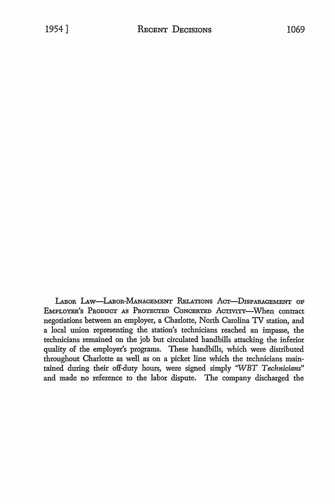LABOR LAW-LABOR-MANAGEMENT RELATIONS ACT-DISPARAGEMENT OF EMPLOYER'S PRODUCT As PROTECTED CoNCERTED AcTIVITY-When contract negotiations between an employer, a Charlotte, North Carolina TV station, and a local union representing the station's technicians reached an impasse, the technicians remained on the job but circulated handbills attacking the inferior quality of the employer's programs. These handbills, which were distributed throughout Charlotte as well as on a picket line which the technicians maintained during their off-duty hours, were signed simply 'WBT *Technicians"*  and made no reference to the labor dispute. The company discharged the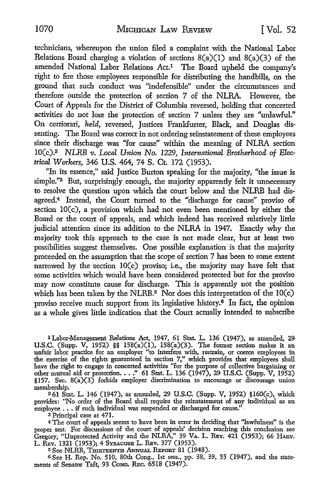technicians, whereupon the union filed a complaint with the National Labor Relations Board charging a violation of sections  $8(a)(1)$  and  $8(a)(3)$  of the amended National Labor Relations Act.1 The Board upheld the company's right to fire those employees responsible for distributing the handbills, on the ground that such conduct was "indefensible" under the circumstances and therefore outside the protection of section 7 of the NLRA. However, the Court of Appeals for the District of Columbia reversed, holding that concerted activities do not lose the protection of section 7 unless they are "unlawful." On certiorari, *held,* reversed, Justices Frankfurter, Black, and Douglas dissenting. The Board was correct in not ordering reinstatement of these employees since their discharge was "for cause" within the meaning of NLRA section IO(c).2 *NLRB v. Local Union No.* 1229, *International Brotherhood of Electrical Workers,* 346 U.S. 464, 74 S. Ct. 172 (1953).

"In its essence," said Justice Burton speaking for the majority, "the issue is simple."<sup>3</sup> But, surprisingly enough, the majority apparently felt it unnecessary to resolve the question upon which the court below and the NLRB had disagreed.4 Instead, the Court turned to the "discharge for cause" proviso of section IO(c), a provision which had not even been mentioned by either the Board or the court of appeals, and which indeed has received relatively little judicial attention since its addition to the NLRA in 1947. Exactly why the majority took this approach to the case is not made clear, but at least two possibilities suggest themselves. One possible explanation is that the majority proceeded on the assumption that the scope of section 7 has been to some extent narrowed by the section  $10(c)$  proviso; i.e., the majority may have felt that some activities which would have been considered protected but for the proviso may now constitute cause for discharge. This is apparently not the position which has been taken by the NLRB.<sup>5</sup> Nor does this interpretation of the  $10(c)$ proviso receive much support from its legislative history.<sup>6</sup> In fact, the opinion as a whole gives little indication that the Court actually intended to subscribe

1 Labor-Management Relations Act, 1947, 61 Stat. L. 136 (1947), as amended, 29 U.S.C. (Supp. V, 1952) §§ 158(a)(l), 158(a)(3). The former section makes it an unfair labor practice for an employer "to interfere with, restrain, or coerce employees in the exercise of the rights guaranteed in section 7," which provides that employees shall have the right to engage in concerted activities "for the purpose of collective bargaining or other mutual aid or protection. . . ." 61 Stat. L. 136 (1947), 29 U.S.C. (Supp. V, 1952) §157. Sec. 8(a)(3) forbids employer discrimination to encourage or discourage union membership.

<sup>2</sup>61 Stat. L. 146 (1947), as amended, 29 U.S.C. (Supp. V, 1952) §l60(c), which provides: "No order of the Board shall require the reinstatement of any individual as an employee  $\ldots$ , if such individual was suspended or discharged for cause."

s Principal case at 471.

<sup>4</sup>The court of appeals seems to have been in error in deciding that ''lawfulness" is the proper test. For discussions of the court of appeals' decision reaching this conclusion see Gregory, "Unprotected Activity and the NLRA,'' 39 VA. L. REv. 421 (1953); 66 HARv. L. REv. 1321 (1953); 4 SYRACUSE L. REv. 377 (1953).

5 See NLRB, TmRTEENTH ANNuAL REPORT 81 (1948).

6 See H. Rep. No. 510, 80th Cong., 1st sess., pp. 38, 39, 55 (1947), and the statements of Senator Taft, 93 CoNc. REc. 6518 (1947).